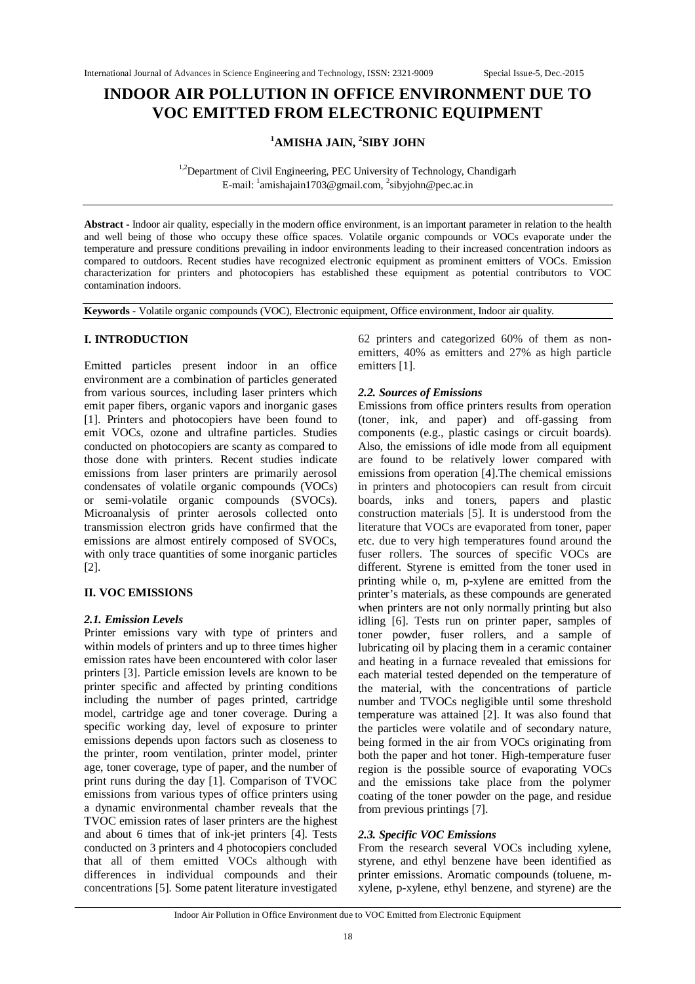# **INDOOR AIR POLLUTION IN OFFICE ENVIRONMENT DUE TO VOC EMITTED FROM ELECTRONIC EQUIPMENT**

## **<sup>1</sup>AMISHA JAIN, <sup>2</sup> SIBY JOHN**

<sup>1,2</sup>Department of Civil Engineering, PEC University of Technology, Chandigarh E-mail: <sup>1</sup>amishajain1703@gmail.com, <sup>2</sup>sibyjohn@pec.ac.in

**Abstract -** Indoor air quality, especially in the modern office environment, is an important parameter in relation to the health and well being of those who occupy these office spaces. Volatile organic compounds or VOCs evaporate under the temperature and pressure conditions prevailing in indoor environments leading to their increased concentration indoors as compared to outdoors. Recent studies have recognized electronic equipment as prominent emitters of VOCs. Emission characterization for printers and photocopiers has established these equipment as potential contributors to VOC contamination indoors.

**Keywords -** Volatile organic compounds (VOC), Electronic equipment, Office environment, Indoor air quality.

### **I. INTRODUCTION**

Emitted particles present indoor in an office environment are a combination of particles generated from various sources, including laser printers which emit paper fibers, organic vapors and inorganic gases [1]. Printers and photocopiers have been found to emit VOCs, ozone and ultrafine particles. Studies conducted on photocopiers are scanty as compared to those done with printers. Recent studies indicate emissions from laser printers are primarily aerosol condensates of volatile organic compounds (VOCs) or semi-volatile organic compounds (SVOCs). Microanalysis of printer aerosols collected onto transmission electron grids have confirmed that the emissions are almost entirely composed of SVOCs, with only trace quantities of some inorganic particles [2].

#### **II. VOC EMISSIONS**

#### *2.1. Emission Levels*

Printer emissions vary with type of printers and within models of printers and up to three times higher emission rates have been encountered with color laser printers [3]. Particle emission levels are known to be printer specific and affected by printing conditions including the number of pages printed, cartridge model, cartridge age and toner coverage. During a specific working day, level of exposure to printer emissions depends upon factors such as closeness to the printer, room ventilation, printer model, printer age, toner coverage, type of paper, and the number of print runs during the day [1]. Comparison of TVOC emissions from various types of office printers using a dynamic environmental chamber reveals that the TVOC emission rates of laser printers are the highest and about 6 times that of ink-jet printers [4]. Tests conducted on 3 printers and 4 photocopiers concluded that all of them emitted VOCs although with differences in individual compounds and their concentrations [5]. Some patent literature investigated

62 printers and categorized 60% of them as nonemitters, 40% as emitters and 27% as high particle emitters [1].

#### *2.2. Sources of Emissions*

Emissions from office printers results from operation (toner, ink, and paper) and off-gassing from components (e.g., plastic casings or circuit boards). Also, the emissions of idle mode from all equipment are found to be relatively lower compared with emissions from operation [4].The chemical emissions in printers and photocopiers can result from circuit boards, inks and toners, papers and plastic construction materials [5]. It is understood from the literature that VOCs are evaporated from toner, paper etc. due to very high temperatures found around the fuser rollers. The sources of specific VOCs are different. Styrene is emitted from the toner used in printing while o, m, p-xylene are emitted from the printer's materials, as these compounds are generated when printers are not only normally printing but also idling [6]. Tests run on printer paper, samples of toner powder, fuser rollers, and a sample of lubricating oil by placing them in a ceramic container and heating in a furnace revealed that emissions for each material tested depended on the temperature of the material, with the concentrations of particle number and TVOCs negligible until some threshold temperature was attained [2]. It was also found that the particles were volatile and of secondary nature, being formed in the air from VOCs originating from both the paper and hot toner. High-temperature fuser region is the possible source of evaporating VOCs and the emissions take place from the polymer coating of the toner powder on the page, and residue from previous printings [7].

#### *2.3. Specific VOC Emissions*

From the research several VOCs including xylene, styrene, and ethyl benzene have been identified as printer emissions. Aromatic compounds (toluene, mxylene, p-xylene, ethyl benzene, and styrene) are the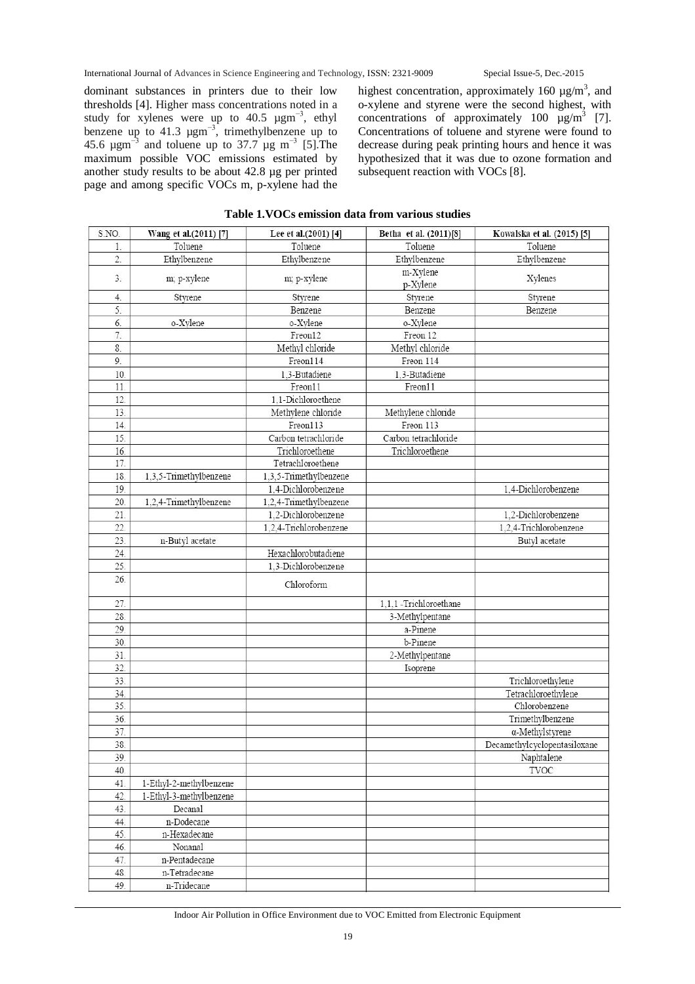dominant substances in printers due to their low thresholds [4]. Higher mass concentrations noted in a study for xylenes were up to 40.5  $\mu$ gm<sup>-3</sup>, ethyl benzene up to 41.3  $\mu$ gm<sup>-3</sup>, trimethylbenzene up to 45.6  $\mu$ gm<sup>-3</sup> and toluene up to 37.7  $\mu$ g m<sup>-3</sup> [5]. The maximum possible VOC emissions estimated by another study results to be about 42.8 µg per printed page and among specific VOCs m, p-xylene had the

highest concentration, approximately 160  $\mu$ g/m<sup>3</sup>, and o-xylene and styrene were the second highest, with concentrations of approximately 100  $\mu$ g/m<sup>3</sup> [7]. Concentrations of toluene and styrene were found to decrease during peak printing hours and hence it was hypothesized that it was due to ozone formation and subsequent reaction with VOCs [8].

| S.NO.            | Wang et al.(2011) [7]   | Lee et al.(2001) [4]   | Betha et al. (2011)[8] | Kowalska et al. (2015) [5]   |
|------------------|-------------------------|------------------------|------------------------|------------------------------|
| 1.               | Toluene                 | Toluene                | Toluene                | Toluene                      |
| 2.               | Ethylbenzene            | Ethylbenzene           | Ethylbenzene           | Ethylbenzene                 |
| 3.               |                         |                        | m-Xylene               |                              |
|                  | m; p-xylene             | m; p-xylene            | p-Xylene               | Xylenes                      |
| 4.               | Styrene                 | Styrene                | Styrene                | Styrene                      |
| 5.               |                         | Benzene                | Benzene                | Benzene                      |
| 6.               | o-Xylene                | o-Xylene               | o-Xylene               |                              |
| $\overline{7}$ . |                         | Freon12                | Freon 12               |                              |
| 8.               |                         | Methyl chloride        | Methyl chloride        |                              |
| 9.               |                         | Freon114               | Freon 114              |                              |
| 10.              |                         | 1.3-Butadiene          | 1.3-Butadiene          |                              |
| 11.              |                         | Freon11                | Freon11                |                              |
| 12.              |                         | 1.1-Dichloroethene     |                        |                              |
| 13.              |                         | Methylene chloride     | Methylene chloride     |                              |
| 14.              |                         | Freon113               | Freon 113              |                              |
| 15.              |                         | Carbon tetrachloride   | Carbon tetrachloride   |                              |
| 16.              |                         | Trichloroethene        | Trichloroethene        |                              |
| 17.              |                         | Tetrachloroethene      |                        |                              |
| 18.              | 1,3,5-Trimethylbenzene  | 1.3.5-Trimethylbenzene |                        |                              |
| 19.              |                         | 1,4-Dichlorobenzene    |                        | 1.4-Dichlorobenzene          |
| 20.              | 1,2,4-Trimethylbenzene  | 1,2,4-Trimethylbenzene |                        |                              |
| 21.              |                         | 1.2-Dichlorobenzene    |                        | 1.2-Dichlorobenzene          |
| 22.              |                         | 1.2.4-Trichlorobenzene |                        | 1,2,4-Trichlorobenzene       |
| 23.              | n-Butyl acetate         |                        |                        | Butyl acetate                |
| 24.              |                         | Hexachlorobutadiene    |                        |                              |
| 25.              |                         | 1.3-Dichlorobenzene    |                        |                              |
| 26.              |                         | Chloroform             |                        |                              |
| 27.              |                         |                        | 1.1.1 -Trichloroethane |                              |
| 28.              |                         |                        | 3-Methylpentane        |                              |
| 29.              |                         |                        | a-Pinene               |                              |
| 30.              |                         |                        | b-Pinene               |                              |
| 31.              |                         |                        | 2-Methylpentane        |                              |
| 32.              |                         |                        | Isoprene               |                              |
| 33.              |                         |                        |                        | Trichloroethylene            |
| 34.              |                         |                        |                        | Tetrachloroethylene          |
| 35.              |                         |                        |                        | Chlorobenzene                |
| 36.              |                         |                        |                        | Trimethylbenzene             |
| 37.              |                         |                        |                        | α-Methylstyrene              |
| 38.              |                         |                        |                        | Decamethylcyclopentasiloxane |
| 39.              |                         |                        |                        | Naphtalene                   |
| 40.              |                         |                        |                        | <b>TVOC</b>                  |
| 41.              | 1-Ethyl-2-methylbenzene |                        |                        |                              |
| 42.              | 1-Ethyl-3-methylbenzene |                        |                        |                              |
| 43.              | Decanal                 |                        |                        |                              |
| 44.              | n-Dodecane              |                        |                        |                              |
| 45.              | n-Hexadecane            |                        |                        |                              |
| 46.              | Nonanal                 |                        |                        |                              |
| 47.              | n-Pentadecane           |                        |                        |                              |
| 48.<br>49.       | n-Tetradecane           |                        |                        |                              |
|                  | n-Tridecane             |                        |                        |                              |

#### **Table 1.VOCs emission data from various studies**

Indoor Air Pollution in Office Environment due to VOC Emitted from Electronic Equipment